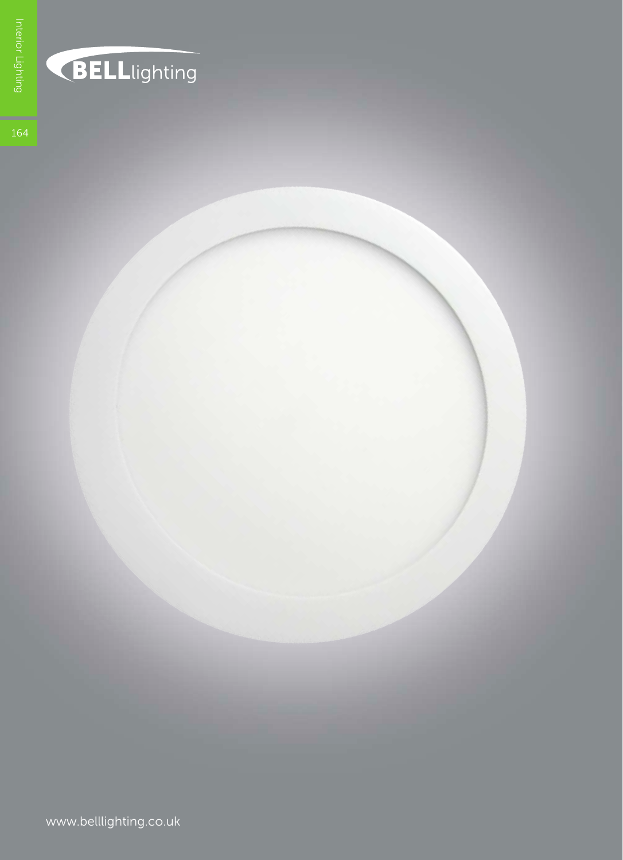## BELLlighting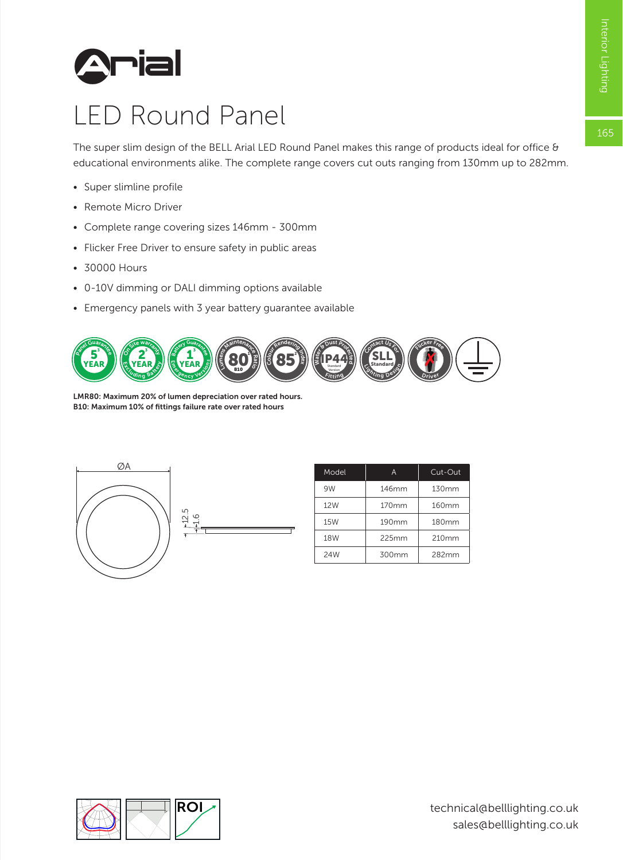165



## LED Round Panel

The super slim design of the BELL Arial LED Round Panel makes this range of products ideal for office & educational environments alike. The complete range covers cut outs ranging from 130mm up to 282mm.

- Super slimline profile
- Remote Micro Driver
- Complete range covering sizes 146mm 300mm
- Flicker Free Driver to ensure safety in public areas
- 30000 Hours
- 0-10V dimming or DALI dimming options available
- Emergency panels with 3 year battery guarantee available



LMR80: Maximum 20% of lumen depreciation over rated hours. B10: Maximum 10% of fittings failure rate over rated hours



| Model      | A     | Cut-Out |
|------------|-------|---------|
| 9W         | 146mm | 130mm   |
| 12W        | 170mm | 160mm   |
| <b>15W</b> | 190mm | 180mm   |
| <b>18W</b> | 225mm | 210mm   |
| 24W        | 300mm | 282mm   |

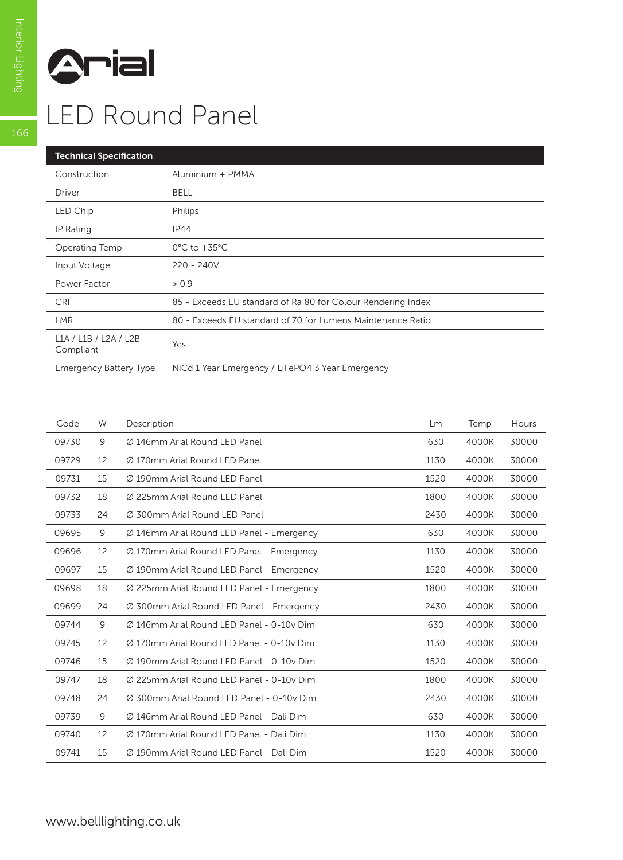

## LED Round Panel

| <b>Technical Specification</b>     |                                                              |
|------------------------------------|--------------------------------------------------------------|
| Construction                       | Aluminium + PMMA                                             |
| Driver                             | <b>BELL</b>                                                  |
| LED Chip                           | Philips                                                      |
| IP Rating                          | IP44                                                         |
| Operating Temp                     | $0^{\circ}$ C to +35 $^{\circ}$ C                            |
| Input Voltage                      | 220 - 240V                                                   |
| Power Factor                       | > 0.9                                                        |
| <b>CRI</b>                         | 85 - Exceeds EU standard of Ra 80 for Colour Rendering Index |
| <b>LMR</b>                         | 80 - Exceeds EU standard of 70 for Lumens Maintenance Ratio  |
| L1A / L1B / L2A / L2B<br>Compliant | Yes                                                          |
| <b>Emergency Battery Type</b>      | NiCd 1 Year Emergency / LiFePO4 3 Year Emergency             |

| Code  | W  | Description                               | Lm   | Temp  | Hours |
|-------|----|-------------------------------------------|------|-------|-------|
| 09730 | 9  | Ø 146mm Arial Round LED Panel             | 630  | 4000K | 30000 |
| 09729 | 12 | Ø 170mm Arial Round LED Panel             | 1130 | 4000K | 30000 |
| 09731 | 15 | Ø 190mm Arial Round LED Panel             | 1520 | 4000K | 30000 |
| 09732 | 18 | Ø 225mm Arial Round LED Panel             | 1800 | 4000K | 30000 |
| 09733 | 24 | Ø 300mm Arial Round LED Panel             | 2430 | 4000K | 30000 |
| 09695 | 9  | Ø 146mm Arial Round LED Panel - Emergency | 630  | 4000K | 30000 |
| 09696 | 12 | Ø 170mm Arial Round LED Panel - Emergency | 1130 | 4000K | 30000 |
| 09697 | 15 | Ø 190mm Arial Round LED Panel - Emergency | 1520 | 4000K | 30000 |
| 09698 | 18 | Ø 225mm Arial Round LED Panel - Emergency | 1800 | 4000K | 30000 |
| 09699 | 24 | Ø 300mm Arial Round LED Panel - Emergency | 2430 | 4000K | 30000 |
| 09744 | 9  | Ø 146mm Arial Round LED Panel - 0-10y Dim | 630  | 4000K | 30000 |
| 09745 | 12 | Ø 170mm Arial Round LED Panel - 0-10y Dim | 1130 | 4000K | 30000 |
| 09746 | 15 | Ø 190mm Arial Round LED Panel - 0-10y Dim | 1520 | 4000K | 30000 |
| 09747 | 18 | Ø 225mm Arial Round LED Panel - 0-10y Dim | 1800 | 4000K | 30000 |
| 09748 | 24 | Ø 300mm Arial Round LED Panel - 0-10y Dim | 2430 | 4000K | 30000 |
| 09739 | 9  | Ø 146mm Arial Round LED Panel - Dali Dim  | 630  | 4000K | 30000 |
| 09740 | 12 | Ø 170mm Arial Round LED Panel - Dali Dim  | 1130 | 4000K | 30000 |
| 09741 | 15 | Ø 190mm Arial Round LED Panel - Dali Dim  | 1520 | 4000K | 30000 |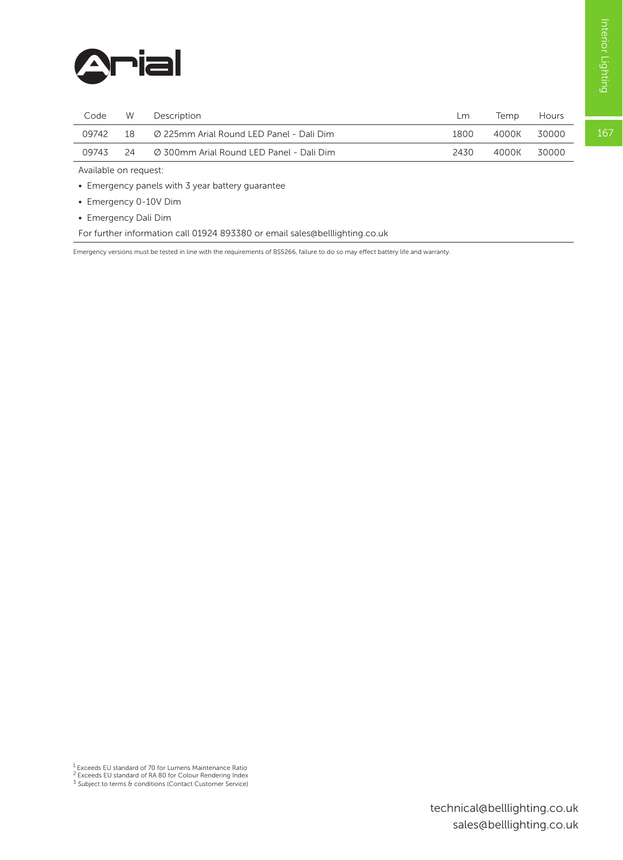

| Code  | <b>W</b> | Description                              | Lm.  | Temp  | Hours |  |  |
|-------|----------|------------------------------------------|------|-------|-------|--|--|
| 09742 | 18       | Ø 225mm Arial Round LED Panel - Dali Dim | 1800 | 4000K | 30000 |  |  |
| 09743 | - 24     | Ø 300mm Arial Round LED Panel - Dali Dim | 2430 | 4000K | 30000 |  |  |
|       |          |                                          |      |       |       |  |  |

Available on request:

• Emergency panels with 3 year battery guarantee

• Emergency 0-10V Dim

• Emergency Dali Dim

For further information call 01924 893380 or email sales@belllighting.co.uk

Emergency versions must be tested in line with the requirements of BS5266, failure to do so may effect battery life and warranty.

<sup>1</sup> Exceeds EU standard of 70 for Lumens Maintenance Ratio<br><sup>2</sup> Exceeds EU standard of RA 80 for Colour Rendering Index<br><sup>3</sup> Subject to terms & conditions (Contact Customer Service)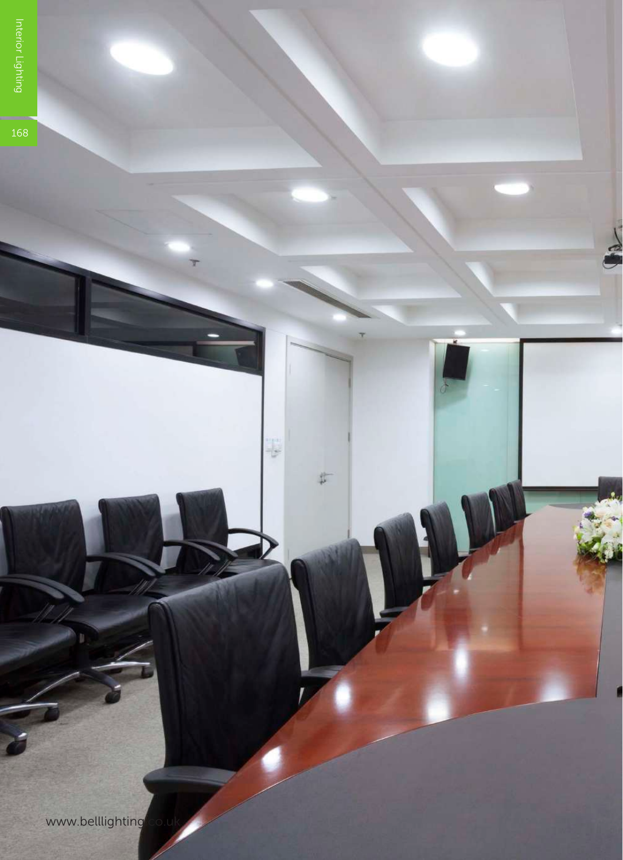¥

Ü

 $\rightarrow$